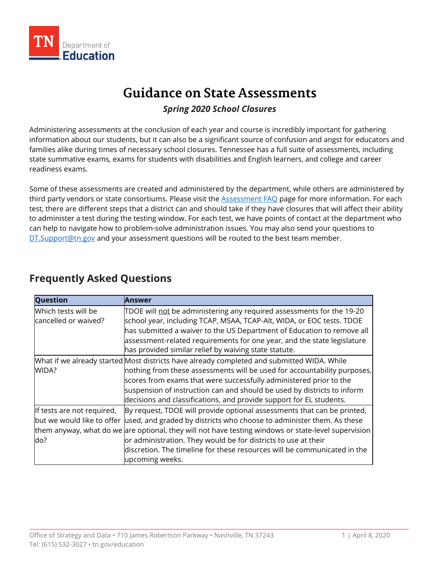

# **Guidance on State Assessments**

### *Spring 2020 School Closures*

Administering assessments at the conclusion of each year and course is incredibly important for gathering information about our students, but it can also be a significant source of confusion and angst for educators and families alike during times of necessary school closures. Tennessee has a full suite of assessments, including state summative exams, exams for students with disabilities and English learners, and college and career readiness exams.

Some of these assessments are created and administered by the department, while others are administered by third party vendors or state consortiums. Please visit the **Assessment FAQ** page for more information. For each test, there are different steps that a district can and should take if they have closures that will affect their ability to administer a test during the testing window. For each test, we have points of contact at the department who can help to navigate how to problem-solve administration issues. You may also send your questions to [DT.Support@tn.gov](mailto:DT.Support@tn.gov) and your assessment questions will be routed to the best team member.

| <b>Question</b>            | Answer                                                                                              |
|----------------------------|-----------------------------------------------------------------------------------------------------|
| Which tests will be        | TDOE will not be administering any required assessments for the 19-20                               |
| cancelled or waived?       | school year, including TCAP, MSAA, TCAP-Alt, WIDA, or EOC tests. TDOE                               |
|                            | has submitted a waiver to the US Department of Education to remove all                              |
|                            | assessment-related requirements for one year, and the state legislature                             |
|                            | has provided similar relief by waiving state statute.                                               |
|                            | What if we already started Most districts have already completed and submitted WIDA. While          |
| WIDA?                      | nothing from these assessments will be used for accountability purposes,                            |
|                            | scores from exams that were successfully administered prior to the                                  |
|                            | suspension of instruction can and should be used by districts to inform                             |
|                            | decisions and classifications, and provide support for EL students.                                 |
| If tests are not required, | By request, TDOE will provide optional assessments that can be printed,                             |
|                            | but we would like to offer used, and graded by districts who choose to administer them. As these    |
|                            | them anyway, what do we are optional, they will not have testing windows or state-level supervision |
| ldo?                       | or administration. They would be for districts to use at their                                      |
|                            | discretion. The timeline for these resources will be communicated in the                            |
|                            | upcoming weeks.                                                                                     |

## **Frequently Asked Questions**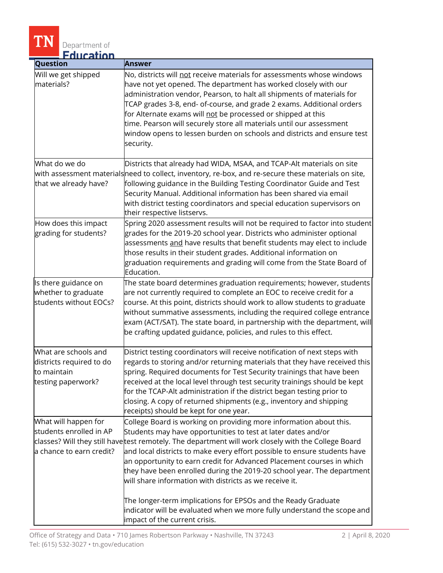| <u>. Education</u><br>Question                | <b>Answer</b>                                                                                                                                                                                                                                                                                                                                                                                                                                                                                                                      |
|-----------------------------------------------|------------------------------------------------------------------------------------------------------------------------------------------------------------------------------------------------------------------------------------------------------------------------------------------------------------------------------------------------------------------------------------------------------------------------------------------------------------------------------------------------------------------------------------|
|                                               |                                                                                                                                                                                                                                                                                                                                                                                                                                                                                                                                    |
| Will we get shipped<br>materials?             | No, districts will not receive materials for assessments whose windows<br>have not yet opened. The department has worked closely with our<br>administration vendor, Pearson, to halt all shipments of materials for<br>TCAP grades 3-8, end- of-course, and grade 2 exams. Additional orders<br>for Alternate exams will <u>not</u> be processed or shipped at this<br>time. Pearson will securely store all materials until our assessment<br>window opens to lessen burden on schools and districts and ensure test<br>security. |
| What do we do                                 | Districts that already had WIDA, MSAA, and TCAP-Alt materials on site                                                                                                                                                                                                                                                                                                                                                                                                                                                              |
|                                               | with assessment materialsneed to collect, inventory, re-box, and re-secure these materials on site,                                                                                                                                                                                                                                                                                                                                                                                                                                |
| that we already have?                         | following guidance in the Building Testing Coordinator Guide and Test<br>Security Manual. Additional information has been shared via email<br>with district testing coordinators and special education supervisors on<br>their respective listservs.                                                                                                                                                                                                                                                                               |
| How does this impact                          | Spring 2020 assessment results will not be required to factor into student                                                                                                                                                                                                                                                                                                                                                                                                                                                         |
| grading for students?                         | grades for the 2019-20 school year. Districts who administer optional<br>assessments <u>and</u> have results that benefit students may elect to include<br>those results in their student grades. Additional information on<br>graduation requirements and grading will come from the State Board of<br>Education.                                                                                                                                                                                                                 |
| Is there guidance on                          | The state board determines graduation requirements; however, students                                                                                                                                                                                                                                                                                                                                                                                                                                                              |
| whether to graduate<br>students without EOCs? | are not currently required to complete an EOC to receive credit for a<br>course. At this point, districts should work to allow students to graduate<br>without summative assessments, including the required college entrance<br>exam (ACT/SAT). The state board, in partnership with the department, will<br>be crafting updated guidance, policies, and rules to this effect.                                                                                                                                                    |
| What are schools and                          | District testing coordinators will receive notification of next steps with                                                                                                                                                                                                                                                                                                                                                                                                                                                         |
| districts required to do                      | regards to storing and/or returning materials that they have received this                                                                                                                                                                                                                                                                                                                                                                                                                                                         |
| to maintain                                   | spring. Required documents for Test Security trainings that have been                                                                                                                                                                                                                                                                                                                                                                                                                                                              |
| testing paperwork?                            | received at the local level through test security trainings should be kept<br>for the TCAP-Alt administration if the district began testing prior to<br>closing. A copy of returned shipments (e.g., inventory and shipping<br>receipts) should be kept for one year.                                                                                                                                                                                                                                                              |
| What will happen for                          | College Board is working on providing more information about this.                                                                                                                                                                                                                                                                                                                                                                                                                                                                 |
| students enrolled in AP                       | ${\sf Students}$ may have opportunities to test at later dates and/or                                                                                                                                                                                                                                                                                                                                                                                                                                                              |
|                                               | classes? Will they still have test remotely. The department will work closely with the College Board                                                                                                                                                                                                                                                                                                                                                                                                                               |
| a chance to earn credit?                      | and local districts to make every effort possible to ensure students have<br>an opportunity to earn credit for Advanced Placement courses in which<br>they have been enrolled during the 2019-20 school year. The department<br>will share information with districts as we receive it.                                                                                                                                                                                                                                            |
|                                               | The longer-term implications for EPSOs and the Ready Graduate $\,$                                                                                                                                                                                                                                                                                                                                                                                                                                                                 |
|                                               | indicator will be evaluated when we more fully understand the scope and<br>impact of the current crisis.                                                                                                                                                                                                                                                                                                                                                                                                                           |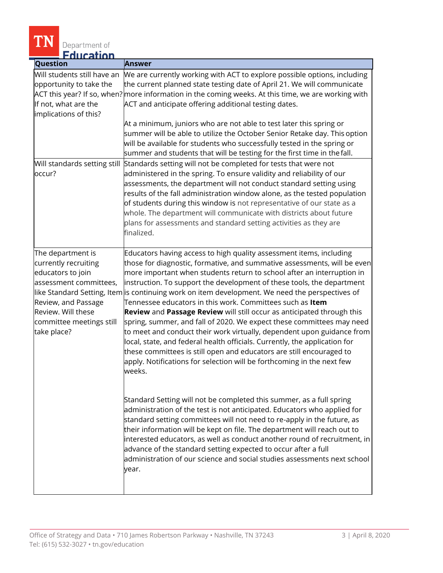| $\blacksquare$ , $\blacksquare$ of $\blacksquare$ if $\blacksquare$                                     |                                                                                                                                                                                                                                                                                                                                                                                                                                                                                                                                                              |
|---------------------------------------------------------------------------------------------------------|--------------------------------------------------------------------------------------------------------------------------------------------------------------------------------------------------------------------------------------------------------------------------------------------------------------------------------------------------------------------------------------------------------------------------------------------------------------------------------------------------------------------------------------------------------------|
| Question                                                                                                | <b>Answer</b>                                                                                                                                                                                                                                                                                                                                                                                                                                                                                                                                                |
| Will students still have an<br>opportunity to take the<br>If not, what are the<br>implications of this? | We are currently working with ACT to explore possible options, including<br>the current planned state testing date of April 21. We will communicate<br>ACT this year? If so, when? more information in the coming weeks. At this time, we are working with<br>ACT and anticipate offering additional testing dates.                                                                                                                                                                                                                                          |
|                                                                                                         | At a minimum, juniors who are not able to test later this spring or<br>summer will be able to utilize the October Senior Retake day. This option<br>will be available for students who successfully tested in the spring or<br>summer and students that will be testing for the first time in the fall.                                                                                                                                                                                                                                                      |
| occur?                                                                                                  | Will standards setting still Standards setting will not be completed for tests that were not<br>administered in the spring. To ensure validity and reliability of our<br>assessments, the department will not conduct standard setting using<br>results of the fall administration window alone, as the tested population<br>of students during this window is not representative of our state as a<br>whole. The department will communicate with districts about future<br>plans for assessments and standard setting activities as they are<br>finalized. |
| The department is                                                                                       | Educators having access to high quality assessment items, including                                                                                                                                                                                                                                                                                                                                                                                                                                                                                          |
| currently recruiting                                                                                    | those for diagnostic, formative, and summative assessments, will be even                                                                                                                                                                                                                                                                                                                                                                                                                                                                                     |
| educators to join                                                                                       | more important when students return to school after an interruption in                                                                                                                                                                                                                                                                                                                                                                                                                                                                                       |
| assessment committees,                                                                                  | instruction. To support the development of these tools, the department                                                                                                                                                                                                                                                                                                                                                                                                                                                                                       |
|                                                                                                         | like Standard Setting, Item is continuing work on item development. We need the perspectives of                                                                                                                                                                                                                                                                                                                                                                                                                                                              |
| Review, and Passage                                                                                     | Tennessee educators in this work. Committees such as $\mathop{\mathsf{Item}}\nolimits$                                                                                                                                                                                                                                                                                                                                                                                                                                                                       |
| Review. Will these<br>committee meetings still<br>take place?                                           | Review and Passage Review will still occur as anticipated through this<br>spring, summer, and fall of 2020. We expect these committees may need<br>to meet and conduct their work virtually, dependent upon guidance from<br>local, state, and federal health officials. Currently, the application for<br>these committees is still open and educators are still encouraged to<br>apply. Notifications for selection will be forthcoming in the next few<br>weeks.                                                                                          |
|                                                                                                         | Standard Setting will not be completed this summer, as a full spring<br>administration of the test is not anticipated. Educators who applied for<br>standard setting committees will not need to re-apply in the future, as<br>their information will be kept on file. The department will reach out to<br>interested educators, as well as conduct another round of recruitment, in<br>advance of the standard setting expected to occur after a full<br>administration of our science and social studies assessments next school<br>year.                  |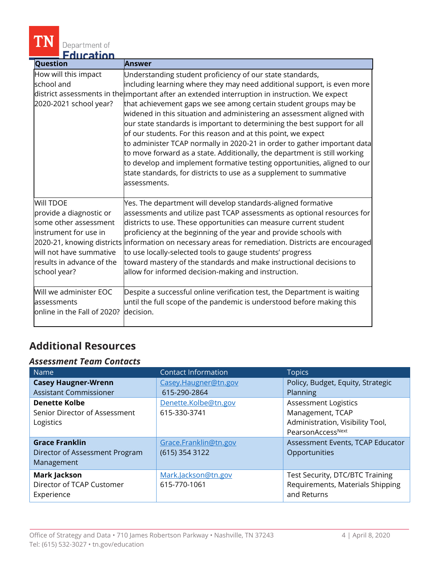

| —I 2011 (C211 [0] A                                                                                                                                                   |                                                                                                                                                                                                                                                                                                                                                                                                                                                                                                                                                                                                                                                                                                                                                                                                                                                              |
|-----------------------------------------------------------------------------------------------------------------------------------------------------------------------|--------------------------------------------------------------------------------------------------------------------------------------------------------------------------------------------------------------------------------------------------------------------------------------------------------------------------------------------------------------------------------------------------------------------------------------------------------------------------------------------------------------------------------------------------------------------------------------------------------------------------------------------------------------------------------------------------------------------------------------------------------------------------------------------------------------------------------------------------------------|
| Question                                                                                                                                                              | <b>Answer</b>                                                                                                                                                                                                                                                                                                                                                                                                                                                                                                                                                                                                                                                                                                                                                                                                                                                |
| How will this impact<br>school and<br>2020-2021 school year?                                                                                                          | Understanding student proficiency of our state standards,<br>including learning where they may need additional support, is even more<br>district assessments in the important after an extended interruption in instruction. We expect<br>that achievement gaps we see among certain student groups may be<br>widened in this situation and administering an assessment aligned with<br>our state standards is important to determining the best support for all<br>of our students. For this reason and at this point, we expect<br>to administer TCAP normally in 2020-21 in order to gather important data<br>to move forward as a state. Additionally, the department is still working<br>to develop and implement formative testing opportunities, aligned to our<br>state standards, for districts to use as a supplement to summative<br>assessments. |
| <b>Will TDOE</b><br>provide a diagnostic or<br>some other assessment<br>instrument for use in<br>will not have summative<br>results in advance of the<br>school year? | Yes. The department will develop standards-aligned formative<br>assessments and utilize past TCAP assessments as optional resources for<br>districts to use. These opportunities can measure current student<br>proficiency at the beginning of the year and provide schools with<br>2020-21, knowing districts information on necessary areas for remediation. Districts are encouraged<br>to use locally-selected tools to gauge students' progress<br>toward mastery of the standards and make instructional decisions to<br>allow for informed decision-making and instruction.                                                                                                                                                                                                                                                                          |
| Will we administer EOC<br>assessments<br>online in the Fall of 2020?                                                                                                  | Despite a successful online verification test, the Department is waiting<br>until the full scope of the pandemic is understood before making this<br>decision.                                                                                                                                                                                                                                                                                                                                                                                                                                                                                                                                                                                                                                                                                               |

# **Additional Resources**

### *Assessment Team Contacts*

| Name                           | <b>Contact Information</b> | <b>Topics</b>                     |
|--------------------------------|----------------------------|-----------------------------------|
| <b>Casey Haugner-Wrenn</b>     | Casey.Haugner@tn.gov       | Policy, Budget, Equity, Strategic |
| <b>Assistant Commissioner</b>  | 615-290-2864               | Planning                          |
| <b>Denette Kolbe</b>           | Denette.Kolbe@tn.gov       | <b>Assessment Logistics</b>       |
| Senior Director of Assessment  | 615-330-3741               | Management, TCAP                  |
| Logistics                      |                            | Administration, Visibility Tool,  |
|                                |                            | PearsonAccessNext                 |
| <b>Grace Franklin</b>          | Grace.Franklin@tn.gov      | Assessment Events, TCAP Educator  |
| Director of Assessment Program | (615) 354 3122             | Opportunities                     |
| Management                     |                            |                                   |
| <b>Mark Jackson</b>            | Mark.Jackson@tn.gov        | Test Security, DTC/BTC Training   |
| Director of TCAP Customer      | 615-770-1061               | Requirements, Materials Shipping  |
| Experience                     |                            | and Returns                       |